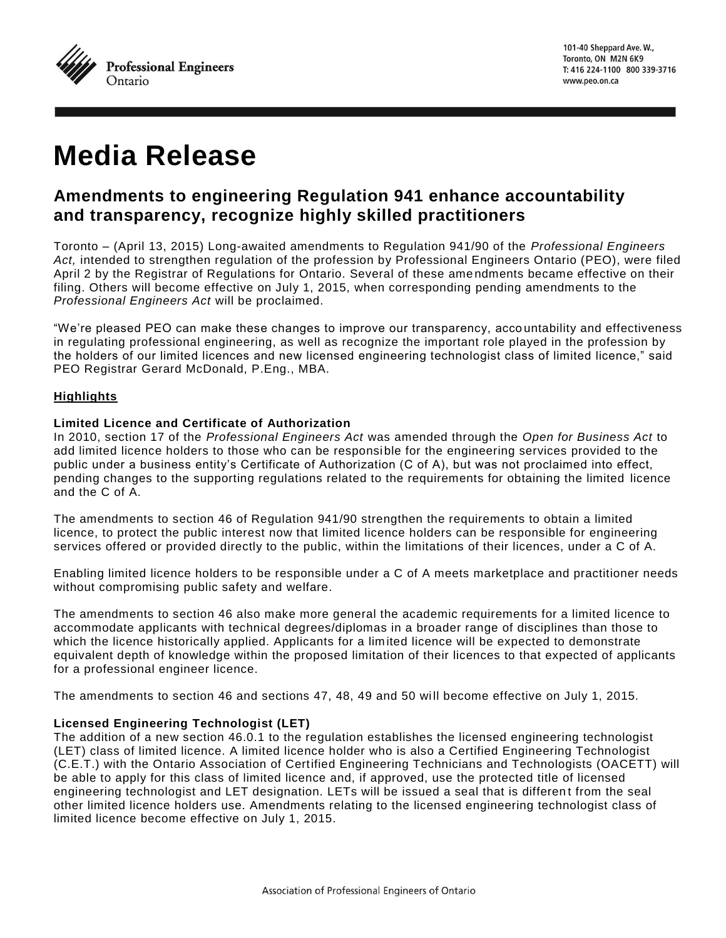

# **Media Release**

# **Amendments to engineering Regulation 941 enhance accountability and transparency, recognize highly skilled practitioners**

Toronto – (April 13, 2015) Long-awaited amendments to Regulation 941/90 of the *Professional Engineers Act,* intended to strengthen regulation of the profession by Professional Engineers Ontario (PEO), were filed April 2 by the Registrar of Regulations for Ontario. Several of these ame ndments became effective on their filing. Others will become effective on July 1, 2015, when corresponding pending amendments to the *Professional Engineers Act* will be proclaimed.

"We're pleased PEO can make these changes to improve our transparency, acco untability and effectiveness in regulating professional engineering, as well as recognize the important role played in the profession by the holders of our limited licences and new licensed engineering technologist class of limited licence," said PEO Registrar Gerard McDonald, P.Eng., MBA.

# **Highlights**

### **Limited Licence and Certificate of Authorization**

In 2010, section 17 of the *Professional Engineers Act* was amended through the *Open for Business Act* to add limited licence holders to those who can be responsible for the engineering services provided to the public under a business entity's Certificate of Authorization (C of A), but was not proclaimed into effect, pending changes to the supporting regulations related to the requirements for obtaining the limited licence and the C of A.

The amendments to section 46 of Regulation 941/90 strengthen the requirements to obtain a limited licence, to protect the public interest now that limited licence holders can be responsible for engineering services offered or provided directly to the public, within the limitations of their licences, under a C of A.

Enabling limited licence holders to be responsible under a C of A meets marketplace and practitioner needs without compromising public safety and welfare.

The amendments to section 46 also make more general the academic requirements for a limited licence to accommodate applicants with technical degrees/diplomas in a broader range of disciplines than those to which the licence historically applied. Applicants for a lim ited licence will be expected to demonstrate equivalent depth of knowledge within the proposed limitation of their licences to that expected of applicants for a professional engineer licence.

The amendments to section 46 and sections 47, 48, 49 and 50 will become effective on July 1, 2015.

# **Licensed Engineering Technologist (LET)**

The addition of a new section 46.0.1 to the regulation establishes the licensed engineering technologist (LET) class of limited licence. A limited licence holder who is also a Certified Engineering Technologist (C.E.T.) with the Ontario Association of Certified Engineering Technicians and Technologists (OACETT) will be able to apply for this class of limited licence and, if approved, use the protected title of licensed engineering technologist and LET designation. LETs will be issued a seal that is differen t from the seal other limited licence holders use. Amendments relating to the licensed engineering technologist class of limited licence become effective on July 1, 2015.